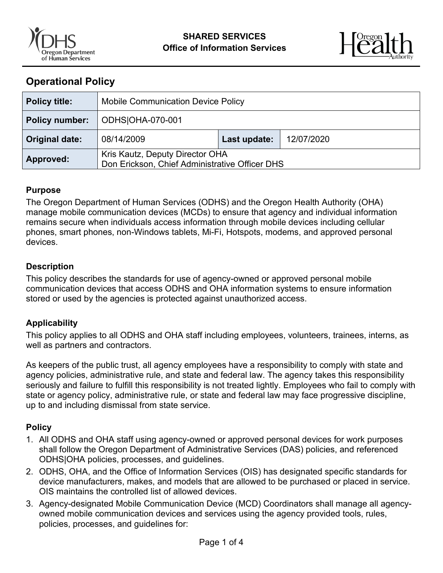



# **Operational Policy**

| <b>Policy title:</b>  | <b>Mobile Communication Device Policy</b>                                         |              |            |
|-----------------------|-----------------------------------------------------------------------------------|--------------|------------|
| <b>Policy number:</b> | ODHS OHA-070-001                                                                  |              |            |
| <b>Original date:</b> | 08/14/2009                                                                        | Last update: | 12/07/2020 |
| Approved:             | Kris Kautz, Deputy Director OHA<br>Don Erickson, Chief Administrative Officer DHS |              |            |

#### **Purpose**

The Oregon Department of Human Services (ODHS) and the Oregon Health Authority (OHA) manage mobile communication devices (MCDs) to ensure that agency and individual information remains secure when individuals access information through mobile devices including cellular phones, smart phones, non-Windows tablets, Mi-Fi, Hotspots, modems, and approved personal devices.

#### **Description**

This policy describes the standards for use of agency-owned or approved personal mobile communication devices that access ODHS and OHA information systems to ensure information stored or used by the agencies is protected against unauthorized access.

### **Applicability**

This policy applies to all ODHS and OHA staff including employees, volunteers, trainees, interns, as well as partners and contractors.

As keepers of the public trust, all agency employees have a responsibility to comply with state and agency policies, administrative rule, and state and federal law. The agency takes this responsibility seriously and failure to fulfill this responsibility is not treated lightly. Employees who fail to comply with state or agency policy, administrative rule, or state and federal law may face progressive discipline, up to and including dismissal from state service.

### **Policy**

- 1. All ODHS and OHA staff using agency-owned or approved personal devices for work purposes shall follow the Oregon Department of Administrative Services (DAS) policies, and referenced ODHS|OHA policies, processes, and guidelines.
- 2. ODHS, OHA, and the Office of Information Services (OIS) has designated specific standards for device manufacturers, makes, and models that are allowed to be purchased or placed in service. OIS maintains the controlled list of allowed devices.
- 3. Agency-designated Mobile Communication Device (MCD) Coordinators shall manage all agencyowned mobile communication devices and services using the agency provided tools, rules, policies, processes, and guidelines for: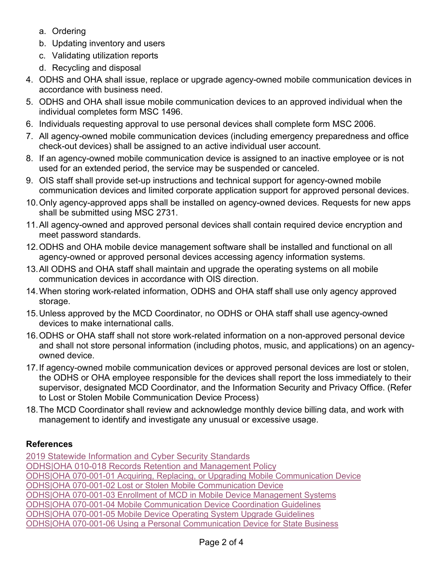- a. Ordering
- b. Updating inventory and users
- c. Validating utilization reports
- d. Recycling and disposal
- 4. ODHS and OHA shall issue, replace or upgrade agency-owned mobile communication devices in accordance with business need.
- 5. ODHS and OHA shall issue mobile communication devices to an approved individual when the individual completes form MSC 1496.
- 6. Individuals requesting approval to use personal devices shall complete form MSC 2006.
- 7. All agency-owned mobile communication devices (including emergency preparedness and office check-out devices) shall be assigned to an active individual user account.
- 8. If an agency-owned mobile communication device is assigned to an inactive employee or is not used for an extended period, the service may be suspended or canceled.
- 9. OIS staff shall provide set-up instructions and technical support for agency-owned mobile communication devices and limited corporate application support for approved personal devices.
- 10.Only agency-approved apps shall be installed on agency-owned devices. Requests for new apps shall be submitted using MSC 2731.
- 11.All agency-owned and approved personal devices shall contain required device encryption and meet password standards.
- 12. ODHS and OHA mobile device management software shall be installed and functional on all agency-owned or approved personal devices accessing agency information systems.
- 13.All ODHS and OHA staff shall maintain and upgrade the operating systems on all mobile communication devices in accordance with OIS direction.
- 14.When storing work-related information, ODHS and OHA staff shall use only agency approved storage.
- 15.Unless approved by the MCD Coordinator, no ODHS or OHA staff shall use agency-owned devices to make international calls.
- 16. ODHS or OHA staff shall not store work-related information on a non-approved personal device and shall not store personal information (including photos, music, and applications) on an agencyowned device.
- 17. If agency-owned mobile communication devices or approved personal devices are lost or stolen, the ODHS or OHA employee responsible for the devices shall report the loss immediately to their supervisor, designated MCD Coordinator, and the Information Security and Privacy Office. (Refer to Lost or Stolen Mobile Communication Device Process)
- 18.The MCD Coordinator shall review and acknowledge monthly device billing data, and work with management to identify and investigate any unusual or excessive usage.

# **References**

[2019 Statewide Information and Cyber Security Standards](https://www.oregon.gov/das/OSCIO/Documents/2019StatewideInformationAndCyberSecurityStandardsV1.0.pdf) ODHS|OHA 010-018 [Records Retention and Management Policy](https://sharedsystems.dhsoha.state.or.us/DHSForms/Served/me010-018.pdf) [ODHS|OHA 070-001-01 Acquiring, Replacing, or Upgrading Mobile Communication Device](https://apps.state.or.us/Forms/Served/dhsoha070001-01.pdf)  [ODHS|OHA 070-001-02 Lost or Stolen Mobile](https://apps.state.or.us/Forms/Served/me070-001-02.pdf) Communication Device [ODHS|OHA 070-001-03 Enrollment of MCD in Mobile Device Management Systems](https://apps.state.or.us/Forms/Served/dhsoha070001-03.pdf)  [ODHS|OHA 070-001-04 Mobile Communication Device Coordination Guidelines](https://apps.state.or.us/Forms/Served/dhsoha070001-04.pdf)  [ODHS|OHA 070-001-05 Mobile Device Operating System Upgrade](https://apps.state.or.us/Forms/Served/dhsoha070001-05.pdf) Guidelines [ODHS|OHA 070-001-06 Using a Personal Communication Device for State Business](https://apps.state.or.us/Forms/Served/dhsoha070001-06.pdf)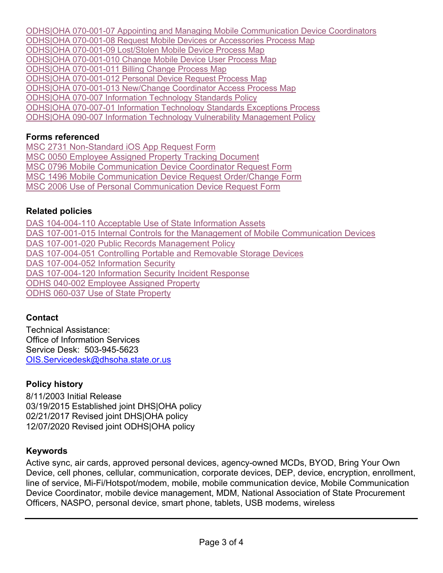ODHS|OHA 070-001-07 Appointing and [Managing Mobile Communication Device Coordinators](https://apps.state.or.us/Forms/Served/dhsoha070001-07.pdf)  ODHS|OHA [070-001-08 Request Mobile Devices or Accessories Process Map](https://apps.state.or.us/Forms/Served/msc070-001-08.pdf)  ODHS|OHA [070-001-09 Lost/Stolen Mobile Device Process Map](https://apps.state.or.us/Forms/Served/me070-001-09.pdf)  ODHS|OHA [070-001-010 Change Mobile Device User Process Map](https://apps.state.or.us/Forms/Served/msc070-001-010.pdf)  ODHS|OHA [070-001-011 Billing Change Process Map](https://apps.state.or.us/Forms/Served/msc070-001-011.pdf)  ODHS|OHA 070-001-012 [Personal Device Request Process Map](https://apps.state.or.us/Forms/Served/msc070-001-012.pdf) ODHS|OHA [070-001-013 New/Change Coordinator Access Process Map](https://apps.state.or.us/Forms/Served/me070-001-013.pdf)  ODHS|OHA [070-007 Information Technology Standards Policy](https://sharedsystems.dhsoha.state.or.us/DHSForms/Served/me070-007.pdf) ODHS|OHA 070-007-01 [Information Technology Standards Exceptions Process](https://sharedsystems.dhsoha.state.or.us/DHSForms/Served/me070-007-01.pdf) [ODHS|OHA 090-007 Information Technology Vulnerability Management Policy](https://sharedsystems.dhsoha.state.or.us/DHSForms/Served/me070-014.pdf)

### **Forms referenced**

MSC 2731 [Non-Standard iOS App Request](https://apps.state.or.us/Forms/Served/Me2731.docx) Form MSC [0050 Employee Assigned Property Tracking Document](https://apps.state.or.us/Forms/Served/me0050.docx) MSC 0796 Mobile [Communication Device](https://apps.state.or.us/Forms/Served/me0796.docx) Coordinator Request Form MSC 1496 Mobile [Communication Device Request Order/Change Form](https://apps.state.or.us/Forms/Served/me1496.doc) [MSC 2006 Use of Personal Communication Device Request Form](https://apps.state.or.us/Forms/Served/me2006.pdf) 

# **Related policies**

[DAS 104-004-110 Acceptable Use of State Information Assets](http://www.oregon.gov/das/Policies/107-004-110.pdf) [DAS 107-001-015 Internal Controls for the Management of Mobile Communication Devices](http://www.oregon.gov/das/Policies/107-001-015.pdf) [DAS 107-001-020 Public Records Management Policy](http://www.oregon.gov/das/Policies/107-001-020.pdf) [DAS 107-004-051 Controlling Portable and Removable Storage Devices](http://www.oregon.gov/das/Policies/107-004-051.pdf) DAS [107-004-052 Information Security](http://www.oregon.gov/das/Policies/107-004-052.pdf) [DAS 107-004-120 Information Security Incident Response](http://www.oregon.gov/das/Policies/107-004-120.pdf)  ODHS [040-002 Employee Assigned Property](https://sharedsystems.dhsoha.state.or.us/DHSForms/Served/me040-002.pdf) ODHS 060-037 [Use of State Property](https://sharedsystems.dhsoha.state.or.us/DHSForms/Served/me060-037.pdf)

# **Contact**

Technical Assistance: Office of Information Services Service Desk: 503-945-5623 [OIS.Servicedesk@dhsoha.state.or.us](mailto:OIS.Servicedesk@dhsoha.state.or.us)

# **Policy history**

8/11/2003 Initial Release 03/19/2015 Established joint DHS|OHA policy 02/21/2017 Revised joint DHS|OHA policy 12/07/2020 Revised joint ODHS|OHA policy

# **Keywords**

Active sync, air cards, approved personal devices, agency-owned MCDs, BYOD, Bring Your Own Device, cell phones, cellular, communication, corporate devices, DEP, device, encryption, enrollment, line of service, Mi-Fi/Hotspot/modem, mobile, mobile communication device, Mobile Communication Device Coordinator, mobile device management, MDM, National Association of State Procurement Officers, NASPO, personal device, smart phone, tablets, USB modems, wireless